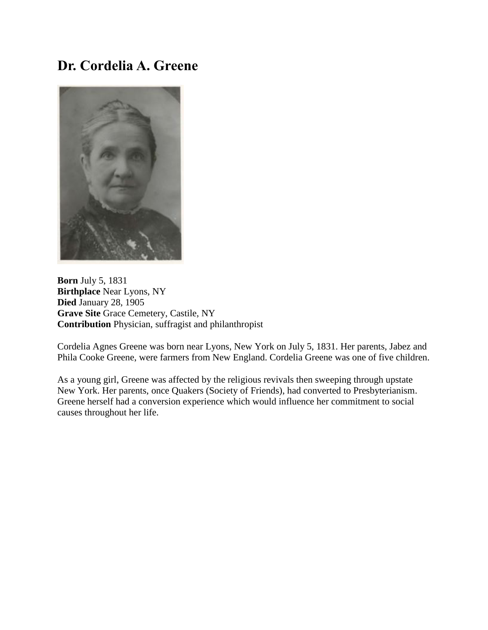## **Dr. Cordelia A. Greene**



**Born** July 5, 1831 **Birthplace** Near Lyons, NY **Died** January 28, 1905 **Grave Site** Grace Cemetery, Castile, NY **Contribution** Physician, suffragist and philanthropist

Cordelia Agnes Greene was born near Lyons, New York on July 5, 1831. Her parents, Jabez and Phila Cooke Greene, were farmers from New England. Cordelia Greene was one of five children.

As a young girl, Greene was affected by the religious revivals then sweeping through upstate New York. Her parents, once Quakers (Society of Friends), had converted to Presbyterianism. Greene herself had a conversion experience which would influence her commitment to social causes throughout her life.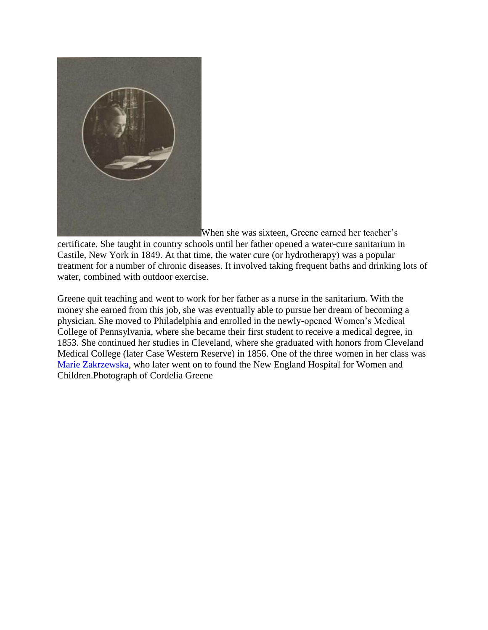

[W](https://rrlc.org/winningthevote/wp-content/uploads/sites/8/2014/12/CAGreene2.jpg)hen she was sixteen, Greene earned her teacher's

certificate. She taught in country schools until her father opened a water-cure sanitarium in Castile, New York in 1849. At that time, the water cure (or hydrotherapy) was a popular treatment for a number of chronic diseases. It involved taking frequent baths and drinking lots of water, combined with outdoor exercise.

Greene quit teaching and went to work for her father as a nurse in the sanitarium. With the money she earned from this job, she was eventually able to pursue her dream of becoming a physician. She moved to Philadelphia and enrolled in the newly-opened Women's Medical College of Pennsylvania, where she became their first student to receive a medical degree, in 1853. She continued her studies in Cleveland, where she graduated with honors from Cleveland Medical College (later Case Western Reserve) in 1856. One of the three women in her class was [Marie Zakrzewska,](http://www.aahn.org/gravesites/zakrzewska.html) who later went on to found the New England Hospital for Women and Children.Photograph of Cordelia Greene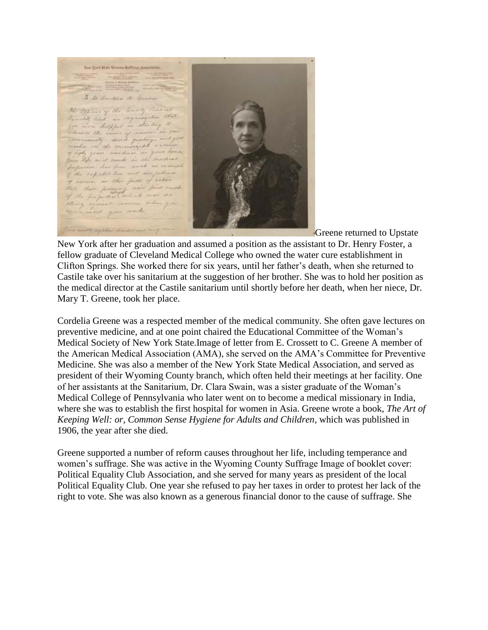Kee Yerk Star Weren Saffrage Assertation. I to Condition Of Givens the Offices of the terms of Political matily alast in helpful. 142 adole Fire

Greene returned to Upstate

New York after her graduation and assumed a position as the assistant to Dr. Henry Foster, a fellow graduate of Cleveland Medical College who owned the water cure establishment in Clifton Springs. She worked there for six years, until her father's death, when she returned to Castile take over his sanitarium at the suggestion of her brother. She was to hold her position as the medical director at the Castile sanitarium until shortly before her death, when her niece, Dr. Mary T. Greene, took her place.

Cordelia Greene was a respected member of the medical community. She often gave lectures on preventive medicine, and at one point chaired the Educational Committee of the Woman's Medical Society of New York State.Image of letter from E. Crossett to C. Greene A member of the American Medical Association (AMA), she served on the AMA's Committee for Preventive Medicine. She was also a member of the New York State Medical Association, and served as president of their Wyoming County branch, which often held their meetings at her facility. One of her assistants at the Sanitarium, Dr. Clara Swain, was a sister graduate of the Woman's Medical College of Pennsylvania who later went on to become a medical missionary in India, where she was to establish the first hospital for women in Asia. Greene wrote a book, *The Art of Keeping Well: or, Common Sense Hygiene for Adults and Children*, which was published in 1906, the year after she died.

Greene supported a number of reform causes throughout her life, including temperance and women's suffrage. She was active in the Wyoming County Suffrage Image of booklet cover: Political Equality Club Association, and she served for many years as president of the local Political Equality Club. One year she refused to pay her taxes in order to protest her lack of the right to vote. She was also known as a generous financial donor to the cause of suffrage. She